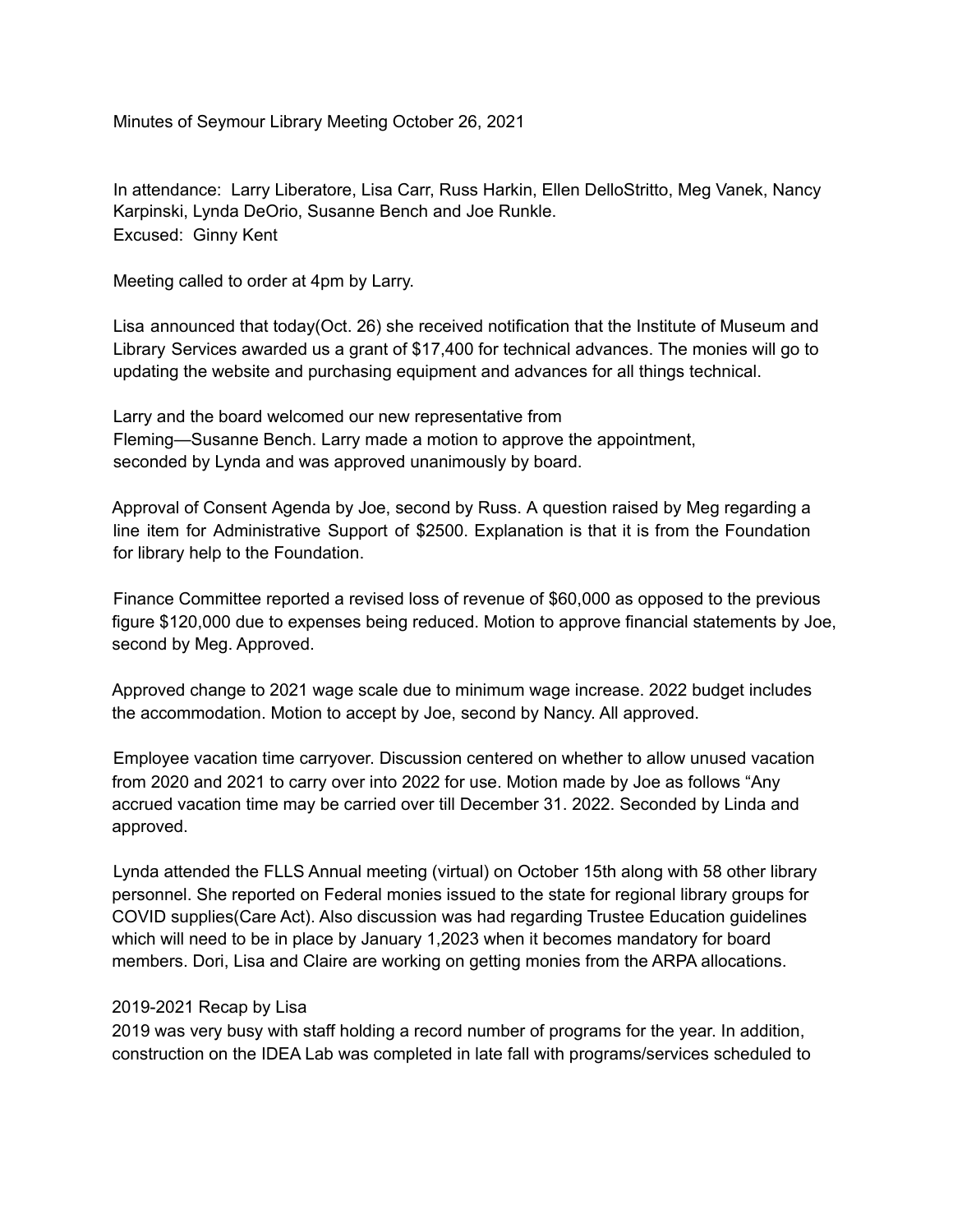Minutes of Seymour Library Meeting October 26, 2021

In attendance: Larry Liberatore, Lisa Carr, Russ Harkin, Ellen DelloStritto, Meg Vanek, Nancy Karpinski, Lynda DeOrio, Susanne Bench and Joe Runkle. Excused: Ginny Kent

Meeting called to order at 4pm by Larry.

Lisa announced that today(Oct. 26) she received notification that the Institute of Museum and Library Services awarded us a grant of \$17,400 for technical advances. The monies will go to updating the website and purchasing equipment and advances for all things technical.

Larry and the board welcomed our new representative from Fleming—Susanne Bench. Larry made a motion to approve the appointment, seconded by Lynda and was approved unanimously by board.

Approval of Consent Agenda by Joe, second by Russ. A question raised by Meg regarding a line item for Administrative Support of \$2500. Explanation is that it is from the Foundation for library help to the Foundation.

Finance Committee reported a revised loss of revenue of \$60,000 as opposed to the previous figure \$120,000 due to expenses being reduced. Motion to approve financial statements by Joe, second by Meg. Approved.

Approved change to 2021 wage scale due to minimum wage increase. 2022 budget includes the accommodation. Motion to accept by Joe, second by Nancy. All approved.

Employee vacation time carryover. Discussion centered on whether to allow unused vacation from 2020 and 2021 to carry over into 2022 for use. Motion made by Joe as follows "Any accrued vacation time may be carried over till December 31. 2022. Seconded by Linda and approved.

Lynda attended the FLLS Annual meeting (virtual) on October 15th along with 58 other library personnel. She reported on Federal monies issued to the state for regional library groups for COVID supplies(Care Act). Also discussion was had regarding Trustee Education guidelines which will need to be in place by January 1,2023 when it becomes mandatory for board members. Dori, Lisa and Claire are working on getting monies from the ARPA allocations.

## 2019-2021 Recap by Lisa

2019 was very busy with staff holding a record number of programs for the year. In addition, construction on the IDEA Lab was completed in late fall with programs/services scheduled to